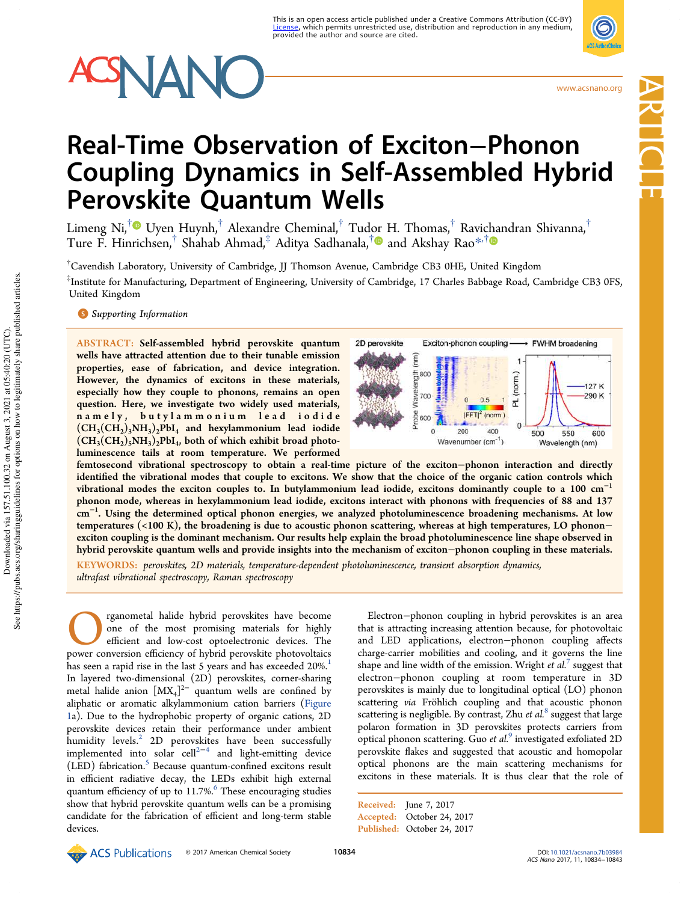# **SNAN**

www.acsnano.org

Article

# Real-Time Observation of Exciton−Phonon Coupling Dynamics in Self-Assembled Hybrid Perovskite Quantum Wells

Limeng Ni,<sup>†</sup>® Uyen Huynh,<sup>†</sup> Alexandre Cheminal,<sup>†</sup> Tudor H. Thomas,<sup>†</sup> Ravichandran Shivanna,<sup>†</sup> Ture F. Hinrichsen, $^\dagger$  Shahab Ahmad, $^\ddagger$  Aditya Sadhanala, $^\dagger$  and Akshay Rao $^{*,\dagger}$ 

†Cavendish Laboratory, University of Cambridge, JJ Thomson Avenue, Cambridge CB3 0HE, United Kingdom ‡ Institute for Manufacturing, Department of Engineering, University of Cambridge, 17 Charles Babbage Road, Cambridge CB3 0FS, United Kingdom

**S** Supporting Information

ABSTRACT: Self-assembled hybrid perovskite quantum wells have attracted attention due to their tunable emission properties, ease of fabrication, and device integration. However, the dynamics of excitons in these materials, especially how they couple to phonons, remains an open question. Here, we investigate two widely used materials, namely, butylammonium lead iodide  $(\text{CH}_3(\text{CH}_2)_3\text{NH}_3)_2\text{PbI}_4$  and hexylammonium lead iodide  $(\text{CH}_3(\text{CH}_2)_5\text{NH}_3)_2\text{PbI}_4$ , both of which exhibit broad photoluminescence tails at room temperature. We performed



femtosecond vibrational spectroscopy to obtain a real-time picture of the exciton−phonon interaction and directly identified the vibrational modes that couple to excitons. We show that the choice of the organic cation controls which vibrational modes the exciton couples to. In butylammonium lead iodide, excitons dominantly couple to a  $100 \text{ cm}^{-1}$ phonon mode, whereas in hexylammonium lead iodide, excitons interact with phonons with frequencies of 88 and 137 cm<sup>−</sup><sup>1</sup> . Using the determined optical phonon energies, we analyzed photoluminescence broadening mechanisms. At low temperatures (<100 K), the broadening is due to acoustic phonon scattering, whereas at high temperatures, LO phonon– exciton coupling is the dominant mechanism. Our results help explain the broad photoluminescence line shape observed in hybrid perovskite quantum wells and provide insights into the mechanism of exciton−phonon coupling in these materials.

KEYWORDS: *perovskites, 2D materials, temperature-dependent photoluminescence, transient absorption dynamics, ultrafast vibrational spectroscopy, Raman spectroscopy*

**CO** regnometal halide hybrid perovskites have become one of the most promising materials for highly efficient and low-cost optoelectronic devices. The power conversion efficiency of hybrid perovskite photovoltaics rganometal halide hybrid perovskites have become one of the most promising materials for highly efficient and low-cost optoelectronic devices. The has seen a rapid rise in the last 5 years and has exceeded 20%.<sup>1</sup> In layered two-dimensional (2D) perovskites, corner-sharing metal halide anion  $[MX_4]^{2-}$  quantum wells are confined by aliphatic or aromatic alkylammonium cation barriers (Figure 1a). Due to the hydrophobic property of organic cations, 2D perovskite devices retain their performance under ambient humidity levels.<sup>2</sup> 2D perovskites have been successfully implemented into solar cell<sup>2−4</sup> and light-emitting device (LED) fabrication.<sup>5</sup> Because quantum-confined excitons result in efficient radiative decay, the LEDs exhibit high external quantum efficiency of up to 11.7%.<sup>6</sup> These encouraging studies show that hybrid perovskite quantum wells can be a promising candidate for the fabrication of efficient and long-term stable devices.

Electron−phonon coupling in hybrid perovskites is an area that is attracting increasing attention because, for photovoltaic and LED applications, electron−phonon coupling affects charge-carrier mobilities and cooling, and it governs the line shape and line width of the emission. Wright *et al.*<sup>7</sup> suggest that electron−phonon coupling at room temperature in 3D perovskites is mainly due to longitudinal optical (LO) phonon scattering *via* Fröhlich coupling and that acoustic phonon scattering is negligible. By contrast, Zhu *et al.*<sup>8</sup> suggest that large polaron formation in 3D perovskites protects carriers from optical phonon scattering. Guo *et al.*<sup>9</sup> investigated exfoliated 2D perovskite flakes and suggested that acoustic and homopolar optical phonons are the main scattering mechanisms for excitons in these materials. It is thus clear that the role of

Received: June 7, 2017 Accepted: October 24, 2017 Published: October 24, 2017

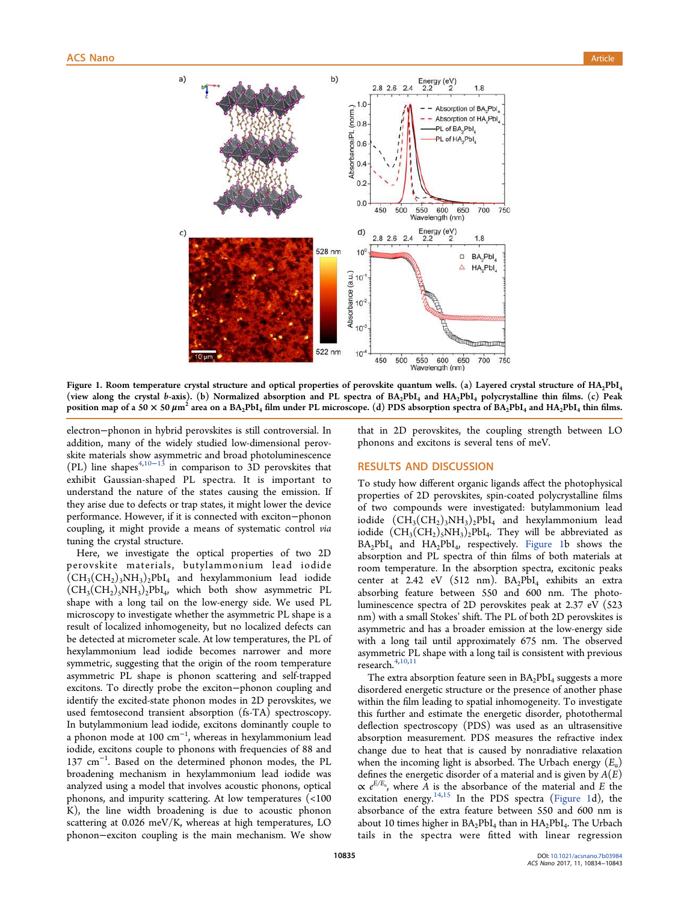

Figure 1. Room temperature crystal structure and optical properties of perovskite quantum wells. (a) Layered crystal structure of HA<sub>2</sub>PbI<sub>4</sub> (view along the crystal b-axis). (b) Normalized absorption and PL spectra of BA2PbI<sup>4</sup> and HA2PbI<sup>4</sup> polycrystalline thin films. (c) Peak position map of a 50  $\times$  50  $\mu$ m $^2$  area on a BA<sub>2</sub>PbI<sub>4</sub> film under PL microscope. (d) PDS absorption spectra of BA<sub>2</sub>PbI<sub>4</sub> and HA<sub>2</sub>PbI<sub>4</sub> thin films.

electron−phonon in hybrid perovskites is still controversial. In addition, many of the widely studied low-dimensional perovskite materials show asymmetric and broad photoluminescence (PL) line shapes<sup>4,10−13</sup> in comparison to 3D perovskites that exhibit Gaussian-shaped PL spectra. It is important to understand the nature of the states causing the emission. If they arise due to defects or trap states, it might lower the device performance. However, if it is connected with exciton−phonon coupling, it might provide a means of systematic control *via* tuning the crystal structure.

Here, we investigate the optical properties of two 2D perovskite materials, butylammonium lead iodide  $(\text{CH}_3(\text{CH}_2)_3\text{NH}_3)_2\text{PbI}_4$  and hexylammonium lead iodide  $(CH_3(CH_2)_5NH_3)_2PbI_4$ , which both show asymmetric PL shape with a long tail on the low-energy side. We used PL microscopy to investigate whether the asymmetric PL shape is a result of localized inhomogeneity, but no localized defects can be detected at micrometer scale. At low temperatures, the PL of hexylammonium lead iodide becomes narrower and more symmetric, suggesting that the origin of the room temperature asymmetric PL shape is phonon scattering and self-trapped excitons. To directly probe the exciton−phonon coupling and identify the excited-state phonon modes in 2D perovskites, we used femtosecond transient absorption (fs-TA) spectroscopy. In butylammonium lead iodide, excitons dominantly couple to a phonon mode at 100 cm<sup>−</sup><sup>1</sup> , whereas in hexylammonium lead iodide, excitons couple to phonons with frequencies of 88 and 137 cm<sup>−</sup><sup>1</sup> . Based on the determined phonon modes, the PL broadening mechanism in hexylammonium lead iodide was analyzed using a model that involves acoustic phonons, optical phonons, and impurity scattering. At low temperatures (<100 K), the line width broadening is due to acoustic phonon scattering at 0.026 meV/K, whereas at high temperatures, LO phonon−exciton coupling is the main mechanism. We show

that in 2D perovskites, the coupling strength between LO phonons and excitons is several tens of meV.

# RESULTS AND DISCUSSION

To study how different organic ligands affect the photophysical properties of 2D perovskites, spin-coated polycrystalline films of two compounds were investigated: butylammonium lead iodide  $(\text{CH}_3(\text{CH}_2)_3\text{NH}_3)_2\text{PbI}_4$  and hexylammonium lead iodide  $(\text{CH}_3(\text{CH}_2)_5\text{NH}_3)_2\text{PbI}_4$ . They will be abbreviated as BA2PbI<sup>4</sup> and HA2PbI<sup>4</sup> , respectively. Figure 1b shows the absorption and PL spectra of thin films of both materials at room temperature. In the absorption spectra, excitonic peaks center at 2.42 eV (512 nm).  $BA_2PbI_4$  exhibits an extra absorbing feature between 550 and 600 nm. The photoluminescence spectra of 2D perovskites peak at 2.37 eV (523 nm) with a small Stokes' shift. The PL of both 2D perovskites is asymmetric and has a broader emission at the low-energy side with a long tail until approximately 675 nm. The observed asymmetric PL shape with a long tail is consistent with previous research. $4,10,11$ 

The extra absorption feature seen in  $BA_2PbI_4$  suggests a more disordered energetic structure or the presence of another phase within the film leading to spatial inhomogeneity. To investigate this further and estimate the energetic disorder, photothermal deflection spectroscopy (PDS) was used as an ultrasensitive absorption measurement. PDS measures the refractive index change due to heat that is caused by nonradiative relaxation when the incoming light is absorbed. The Urbach energy (*E*<sup>u</sup> ) defines the energetic disorder of a material and is given by *A*(*E*)  $\propto e^{E/E_u}$ , where *A* is the absorbance of the material and *E* the excitation energy. $14,15$  In the PDS spectra (Figure 1d), the absorbance of the extra feature between 550 and 600 nm is about 10 times higher in  $BA_2PbI_4$  than in  $HA_2PbI_4$ . The Urbach tails in the spectra were fitted with linear regression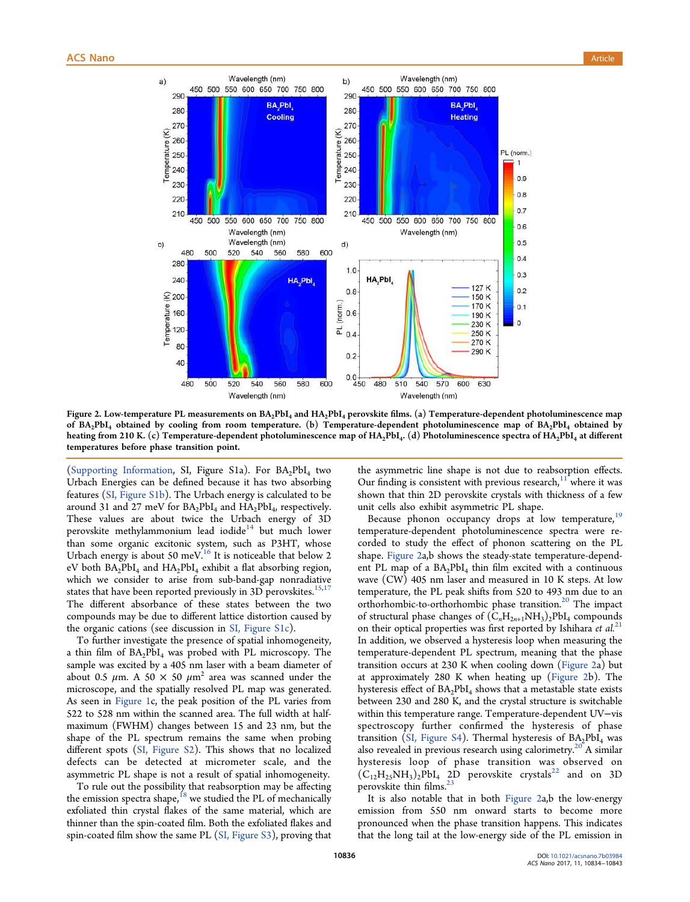

Figure 2. Low-temperature PL measurements on  $BA_2PbI_4$  and  $HA_2PbI_4$  perovskite films. (a) Temperature-dependent photoluminescence map of  $BA_2PbI_4$  obtained by cooling from room temperature. (b) Temperature-dependent photoluminescence map of  $BA_2PbI_4$  obtained by heating from 210 K. (c) Temperature-dependent photoluminescence map of  $HA_2PbI_4$ . (d) Photoluminescence spectra of  $HA_2PbI_4$  at different temperatures before phase transition point.

(Supporting Information, SI, Figure S1a). For  $BA_2PbI_4$  two Urbach Energies can be defined because it has two absorbing features (SI, Figure S1b). The Urbach energy is calculated to be around 31 and 27 meV for  $BA_2PbI_4$  and  $HA_2PbI_4$ , respectively. These values are about twice the Urbach energy of 3D perovskite methylammonium lead iodide<sup>14</sup> but much lower than some organic excitonic system, such as P3HT, whose Urbach energy is about 50 meV.<sup>16</sup> It is noticeable that below 2 eV both  $BA_2PbI_4$  and  $HA_2PbI_4$  exhibit a flat absorbing region, which we consider to arise from sub-band-gap nonradiative states that have been reported previously in 3D perovskites.<sup>15,17</sup> The different absorbance of these states between the two compounds may be due to different lattice distortion caused by the organic cations (see discussion in SI, Figure S1c).

To further investigate the presence of spatial inhomogeneity, a thin film of  $BA_2PbI_4$  was probed with PL microscopy. The sample was excited by a 405 nm laser with a beam diameter of about 0.5  $\mu$ m. A 50  $\times$  50  $\mu$ m<sup>2</sup> area was scanned under the microscope, and the spatially resolved PL map was generated. As seen in Figure 1c, the peak position of the PL varies from 522 to 528 nm within the scanned area. The full width at halfmaximum (FWHM) changes between 15 and 23 nm, but the shape of the PL spectrum remains the same when probing different spots (SI, Figure S2). This shows that no localized defects can be detected at micrometer scale, and the asymmetric PL shape is not a result of spatial inhomogeneity.

To rule out the possibility that reabsorption may be affecting the emission spectra shape,  $^{18}$  we studied the PL of mechanically exfoliated thin crystal flakes of the same material, which are thinner than the spin-coated film. Both the exfoliated flakes and spin-coated film show the same PL (SI, Figure S3), proving that the asymmetric line shape is not due to reabsorption effects. Our finding is consistent with previous research, $11$  where it was shown that thin 2D perovskite crystals with thickness of a few unit cells also exhibit asymmetric PL shape.

Because phonon occupancy drops at low temperature,<sup>19</sup> temperature-dependent photoluminescence spectra were recorded to study the effect of phonon scattering on the PL shape. Figure 2a,b shows the steady-state temperature-dependent PL map of a  $BA_2PbI_4$  thin film excited with a continuous wave (CW) 405 nm laser and measured in 10 K steps. At low temperature, the PL peak shifts from 520 to 493 nm due to an orthorhombic-to-orthorhombic phase transition.<sup>20</sup> The impact of structural phase changes of  $(C<sub>n</sub>H<sub>2n+1</sub>NH<sub>3</sub>)<sub>2</sub>PbI<sub>4</sub> compounds$ on their optical properties was first reported by Ishihara *et al.*<sup>21</sup> In addition, we observed a hysteresis loop when measuring the temperature-dependent PL spectrum, meaning that the phase transition occurs at 230 K when cooling down (Figure 2a) but at approximately 280 K when heating up (Figure 2b). The hysteresis effect of  $BA_2PbI_4$  shows that a metastable state exists between 230 and 280 K, and the crystal structure is switchable within this temperature range. Temperature-dependent UV−vis spectroscopy further confirmed the hysteresis of phase transition (SI, Figure S4). Thermal hysteresis of  $BA_2PbI_4$  was also revealed in previous research using calorimetry.<sup>20</sup> A similar hysteresis loop of phase transition was observed on  $(\rm C_{12}H_{25}NH_3)_2\rm PbI_4$  2D perovskite crystals<sup>22</sup> and on 3D perovskite thin films.<sup>23</sup>

It is also notable that in both Figure 2a,b the low-energy emission from 550 nm onward starts to become more pronounced when the phase transition happens. This indicates that the long tail at the low-energy side of the PL emission in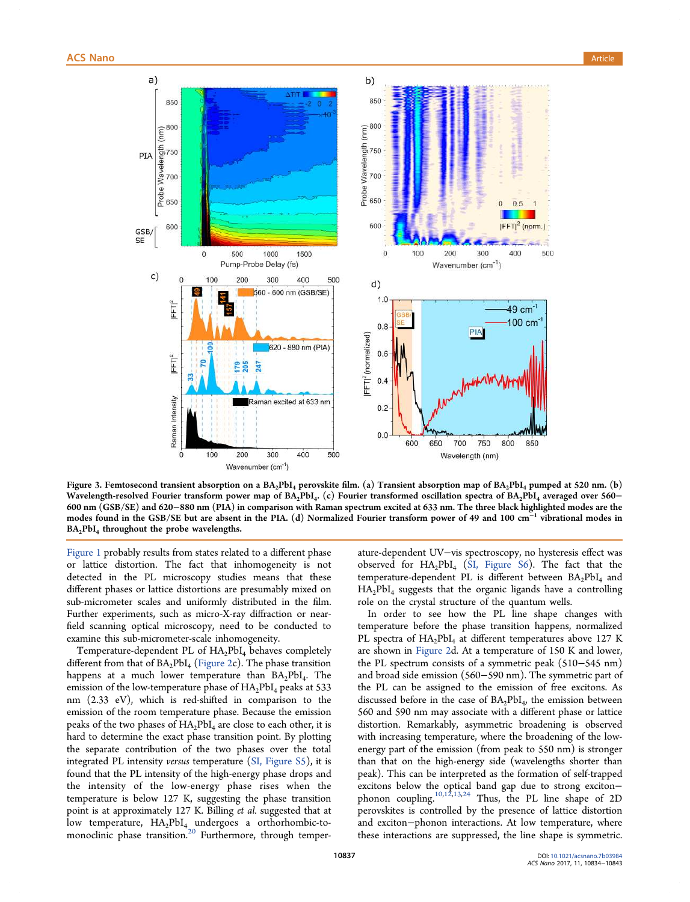

Figure 3. Femtosecond transient absorption on a  $BA_2PbI_4$  perovskite film. (a) Transient absorption map of  $BA_2PbI_4$  pumped at 520 nm. (b) Wavelength-resolved Fourier transform power map of  $BA_2PbI_4$ . (c) Fourier transformed oscillation spectra of  $BA_2PbI_4$  averaged over 560− 600 nm (GSB/SE) and 620−880 nm (PIA) in comparison with Raman spectrum excited at 633 nm. The three black highlighted modes are the modes found in the GSB/SE but are absent in the PIA. (d) Normalized Fourier transform power of 49 and 100 cm<sup>−1</sup> vibrational modes in BA<sub>2</sub>PbI<sub>4</sub> throughout the probe wavelengths.

Figure 1 probably results from states related to a different phase or lattice distortion. The fact that inhomogeneity is not detected in the PL microscopy studies means that these different phases or lattice distortions are presumably mixed on sub-micrometer scales and uniformly distributed in the film. Further experiments, such as micro-X-ray diffraction or nearfield scanning optical microscopy, need to be conducted to examine this sub-micrometer-scale inhomogeneity.

Temperature-dependent PL of HA<sub>2</sub>PbI<sub>4</sub> behaves completely different from that of  $BA_2PbI_4$  (Figure 2c). The phase transition happens at a much lower temperature than  $BA_2PbI_4$ . The emission of the low-temperature phase of  $HA_2PbI_4$  peaks at 533 nm (2.33 eV), which is red-shifted in comparison to the emission of the room temperature phase. Because the emission peaks of the two phases of  $HA_2PbI_4$  are close to each other, it is hard to determine the exact phase transition point. By plotting the separate contribution of the two phases over the total integrated PL intensity *versus* temperature (SI, Figure S5), it is found that the PL intensity of the high-energy phase drops and the intensity of the low-energy phase rises when the temperature is below 127 K, suggesting the phase transition point is at approximately 127 K. Billing *et al.* suggested that at low temperature,  $HA_2PbI_4$  undergoes a orthorhombic-tomonoclinic phase transition.<sup>20</sup> Furthermore, through temper-

ature-dependent UV−vis spectroscopy, no hysteresis effect was observed for  $HA_2PbI_4$  (SI, Figure S6). The fact that the temperature-dependent PL is different between BA2PbI<sub>4</sub> and  $HA_2PbI_4$  suggests that the organic ligands have a controlling role on the crystal structure of the quantum wells.

In order to see how the PL line shape changes with temperature before the phase transition happens, normalized PL spectra of HA<sub>2</sub>PbI<sub>4</sub> at different temperatures above 127 K are shown in Figure 2d. At a temperature of 150 K and lower, the PL spectrum consists of a symmetric peak (510−545 nm) and broad side emission (560−590 nm). The symmetric part of the PL can be assigned to the emission of free excitons. As discussed before in the case of  $BA_2PbI_4$ , the emission between 560 and 590 nm may associate with a different phase or lattice distortion. Remarkably, asymmetric broadening is observed with increasing temperature, where the broadening of the lowenergy part of the emission (from peak to 550 nm) is stronger than that on the high-energy side (wavelengths shorter than peak). This can be interpreted as the formation of self-trapped excitons below the optical band gap due to strong exciton− phonon coupling.10,12,13,24 Thus, the PL line shape of 2D perovskites is controlled by the presence of lattice distortion and exciton−phonon interactions. At low temperature, where these interactions are suppressed, the line shape is symmetric.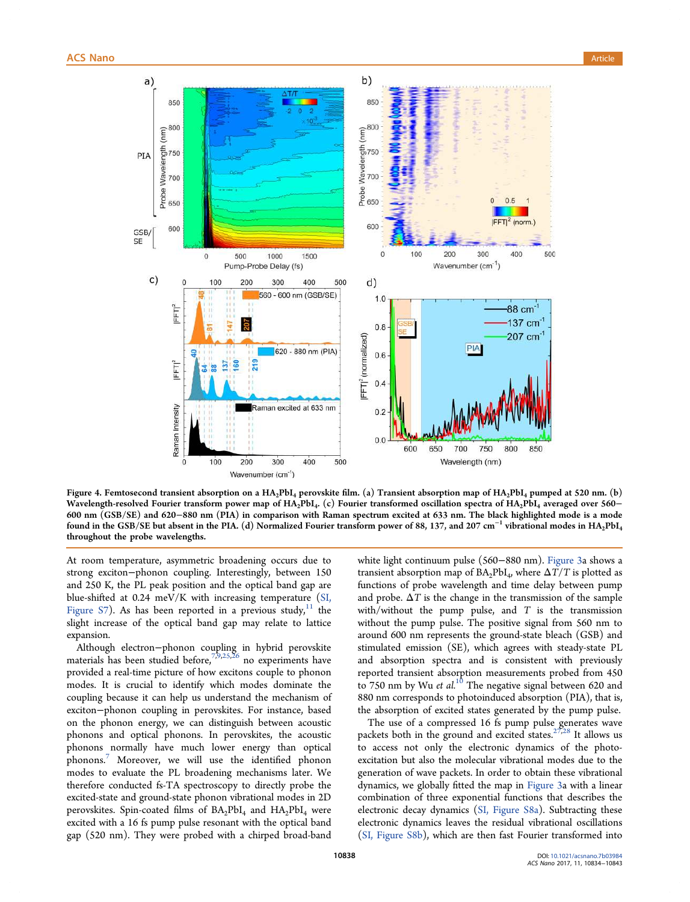

Figure 4. Femtosecond transient absorption on a HA<sub>2</sub>PbI<sub>4</sub> perovskite film. (a) Transient absorption map of HA<sub>2</sub>PbI<sub>4</sub> pumped at 520 nm. (b) Wavelength-resolved Fourier transform power map of  $HA_2PbI_4$ . (c) Fourier transformed oscillation spectra of  $HA_2PbI_4$  averaged over 560– 600 nm (GSB/SE) and 620−880 nm (PIA) in comparison with Raman spectrum excited at 633 nm. The black highlighted mode is a mode found in the GSB/SE but absent in the PIA. (d) Normalized Fourier transform power of 88, 137, and 207 cm<sup>−</sup><sup>1</sup> vibrational modes in HA2PbI<sup>4</sup> throughout the probe wavelengths.

At room temperature, asymmetric broadening occurs due to strong exciton−phonon coupling. Interestingly, between 150 and 250 K, the PL peak position and the optical band gap are blue-shifted at 0.24 meV/K with increasing temperature (SI, Figure S7). As has been reported in a previous study, $11$  the slight increase of the optical band gap may relate to lattice expansion.

Although electron−phonon coupling in hybrid perovskite materials has been studied before,<sup>7,9,25,26</sup> no experiments have provided a real-time picture of how excitons couple to phonon modes. It is crucial to identify which modes dominate the coupling because it can help us understand the mechanism of exciton−phonon coupling in perovskites. For instance, based on the phonon energy, we can distinguish between acoustic phonons and optical phonons. In perovskites, the acoustic phonons normally have much lower energy than optical phonons.<sup>7</sup> Moreover, we will use the identified phonon modes to evaluate the PL broadening mechanisms later. We therefore conducted fs-TA spectroscopy to directly probe the excited-state and ground-state phonon vibrational modes in 2D perovskites. Spin-coated films of  $BA_2PbI_4$  and  $HA_2PbI_4$  were excited with a 16 fs pump pulse resonant with the optical band gap (520 nm). They were probed with a chirped broad-band

white light continuum pulse (560−880 nm). Figure 3a shows a transient absorption map of  $BA_2PbI_4$ , where  $\Delta T/T$  is plotted as functions of probe wavelength and time delay between pump and probe.  $\Delta T$  is the change in the transmission of the sample with/without the pump pulse, and *T* is the transmission without the pump pulse. The positive signal from 560 nm to around 600 nm represents the ground-state bleach (GSB) and stimulated emission (SE), which agrees with steady-state PL and absorption spectra and is consistent with previously reported transient absorption measurements probed from 450 to 750 nm by Wu *et al.*<sup>10</sup> The negative signal between 620 and 880 nm corresponds to photoinduced absorption (PIA), that is, the absorption of excited states generated by the pump pulse.

The use of a compressed 16 fs pump pulse generates wave packets both in the ground and excited states. $27,28$  It allows us to access not only the electronic dynamics of the photoexcitation but also the molecular vibrational modes due to the generation of wave packets. In order to obtain these vibrational dynamics, we globally fitted the map in Figure 3a with a linear combination of three exponential functions that describes the electronic decay dynamics (SI, Figure S8a). Subtracting these electronic dynamics leaves the residual vibrational oscillations (SI, Figure S8b), which are then fast Fourier transformed into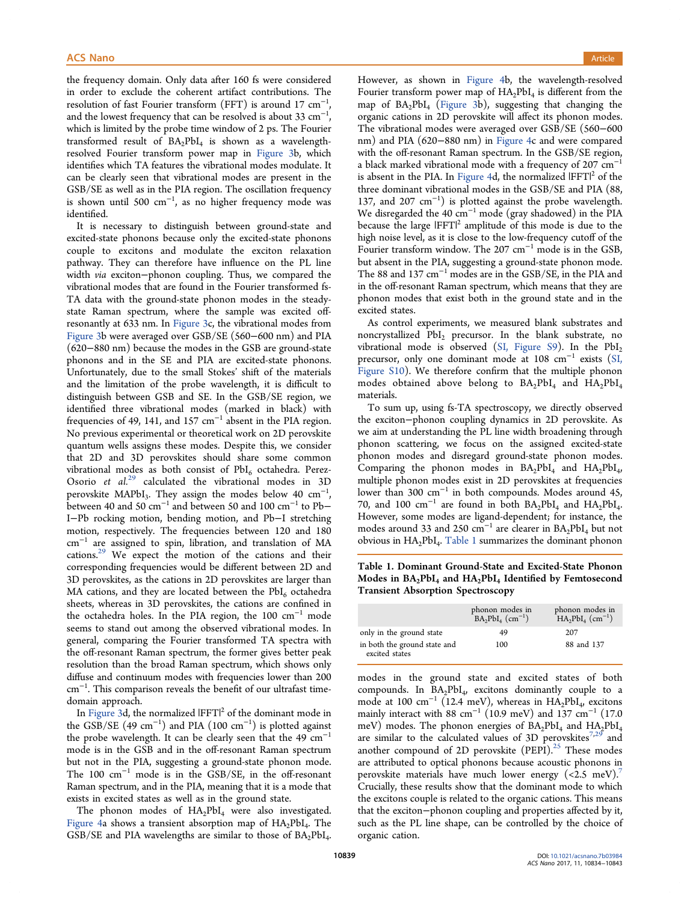the frequency domain. Only data after 160 fs were considered in order to exclude the coherent artifact contributions. The resolution of fast Fourier transform (FFT) is around 17  $cm^{-1}$ , , and the lowest frequency that can be resolved is about  $33 \text{ cm}^{-1}$ , , which is limited by the probe time window of 2 ps. The Fourier transformed result of  $BA_2PbI_4$  is shown as a wavelengthresolved Fourier transform power map in Figure 3b, which identifies which TA features the vibrational modes modulate. It can be clearly seen that vibrational modes are present in the GSB/SE as well as in the PIA region. The oscillation frequency is shown until 500 cm<sup>−</sup><sup>1</sup> , as no higher frequency mode was identified.

It is necessary to distinguish between ground-state and excited-state phonons because only the excited-state phonons couple to excitons and modulate the exciton relaxation pathway. They can therefore have influence on the PL line width *via* exciton−phonon coupling. Thus, we compared the vibrational modes that are found in the Fourier transformed fs-TA data with the ground-state phonon modes in the steadystate Raman spectrum, where the sample was excited offresonantly at 633 nm. In Figure 3c, the vibrational modes from Figure 3b were averaged over GSB/SE (560−600 nm) and PIA (620−880 nm) because the modes in the GSB are ground-state phonons and in the SE and PIA are excited-state phonons. Unfortunately, due to the small Stokes' shift of the materials and the limitation of the probe wavelength, it is difficult to distinguish between GSB and SE. In the GSB/SE region, we identified three vibrational modes (marked in black) with frequencies of 49, 141, and 157  $cm^{-1}$  absent in the PIA region. No previous experimental or theoretical work on 2D perovskite quantum wells assigns these modes. Despite this, we consider that 2D and 3D perovskites should share some common vibrational modes as both consist of  $PbI_6$  octahedra. Perez-Osorio *et al.*<sup>29</sup> calculated the vibrational modes in 3D perovskite MAPbI<sub>3</sub>. They assign the modes below  $40 \text{ cm}^{-1}$ , between 40 and 50  $cm^{-1}$  and between 50 and 100  $cm^{-1}$  to Pb $-$ I−Pb rocking motion, bending motion, and Pb−I stretching motion, respectively. The frequencies between 120 and 180 cm<sup>−</sup><sup>1</sup> are assigned to spin, libration, and translation of MA cations.<sup>29</sup> We expect the motion of the cations and their corresponding frequencies would be different between 2D and 3D perovskites, as the cations in 2D perovskites are larger than MA cations, and they are located between the  $PbI<sub>6</sub>$  octahedra sheets, whereas in 3D perovskites, the cations are confined in the octahedra holes. In the PIA region, the 100  $cm^{-1}$  mode seems to stand out among the observed vibrational modes. In general, comparing the Fourier transformed TA spectra with the off-resonant Raman spectrum, the former gives better peak resolution than the broad Raman spectrum, which shows only diffuse and continuum modes with frequencies lower than 200 cm<sup>−</sup><sup>1</sup> . This comparison reveals the benefit of our ultrafast timedomain approach.

In Figure 3d, the normalized  $\text{IFFT}|^{2}$  of the dominant mode in the GSB/SE  $(49 \text{ cm}^{-1})$  and PIA  $(100 \text{ cm}^{-1})$  is plotted against the probe wavelength. It can be clearly seen that the 49  $cm^{-1}$ mode is in the GSB and in the off-resonant Raman spectrum but not in the PIA, suggesting a ground-state phonon mode. The 100 cm<sup>−</sup><sup>1</sup> mode is in the GSB/SE, in the off-resonant Raman spectrum, and in the PIA, meaning that it is a mode that exists in excited states as well as in the ground state.

The phonon modes of  $HA_2PbI_4$  were also investigated. Figure 4a shows a transient absorption map of  $HA_2PbI_4$ . The GSB/SE and PIA wavelengths are similar to those of  $BA_2PbI_4$ . . However, as shown in Figure 4b, the wavelength-resolved Fourier transform power map of  $HA_2PbI_4$  is different from the map of BA2PbI<sup>4</sup> (Figure 3b), suggesting that changing the organic cations in 2D perovskite will affect its phonon modes. The vibrational modes were averaged over GSB/SE (560−600 nm) and PIA (620−880 nm) in Figure 4c and were compared with the off-resonant Raman spectrum. In the GSB/SE region, a black marked vibrational mode with a frequency of 207  $cm^{-1}$ is absent in the PIA. In Figure 4d, the normalized  $\left|\mathbb{FFT}\right|^2$  of the three dominant vibrational modes in the GSB/SE and PIA (88, 137, and 207 cm<sup>−</sup><sup>1</sup> ) is plotted against the probe wavelength. We disregarded the 40 cm<sup>−</sup><sup>1</sup> mode (gray shadowed) in the PIA because the large  $IFTT|^2$  amplitude of this mode is due to the high noise level, as it is close to the low-frequency cutoff of the Fourier transform window. The 207 cm<sup>−</sup><sup>1</sup> mode is in the GSB, but absent in the PIA, suggesting a ground-state phonon mode. The 88 and 137 cm<sup>−</sup><sup>1</sup> modes are in the GSB/SE, in the PIA and in the off-resonant Raman spectrum, which means that they are phonon modes that exist both in the ground state and in the excited states.

As control experiments, we measured blank substrates and noncrystallized PbI<sub>2</sub> precursor. In the blank substrate, no vibrational mode is observed (SI, Figure S9). In the  $PbI<sub>2</sub>$ precursor, only one dominant mode at 108 cm<sup>-1</sup> exists (SI, Figure S10). We therefore confirm that the multiple phonon modes obtained above belong to  $BA_2PbI_4$  and  $HA_2PbI_4$ materials.

To sum up, using fs-TA spectroscopy, we directly observed the exciton−phonon coupling dynamics in 2D perovskite. As we aim at understanding the PL line width broadening through phonon scattering, we focus on the assigned excited-state phonon modes and disregard ground-state phonon modes. Comparing the phonon modes in  $BA_2PbI_4$  and  $HA_2PbI_4$ , multiple phonon modes exist in 2D perovskites at frequencies lower than 300 cm<sup>−</sup><sup>1</sup> in both compounds. Modes around 45, 70, and 100  $\text{cm}^{-1}$  are found in both  $\text{BA}_2\text{PbI}_4$  and  $\text{HA}_2\text{PbI}_4$ . However, some modes are ligand-dependent; for instance, the modes around 33 and 250  $cm^{-1}$  are clearer in BA<sub>2</sub>PbI<sub>4</sub> but not obvious in HA2PbI<sup>4</sup> . Table 1 summarizes the dominant phonon

Table 1. Dominant Ground-State and Excited-State Phonon Modes in  $BA_2PbI_4$  and  $HA_2PbI_4$  Identified by Femtosecond Transient Absorption Spectroscopy

|                                                | phonon modes in<br>$BA_2PbI_4$ (cm <sup>-1</sup> ) | phonon modes in<br>$\text{HA}_2\text{PbI}_4 \text{ (cm}^{-1})$ |
|------------------------------------------------|----------------------------------------------------|----------------------------------------------------------------|
| only in the ground state                       | 49                                                 | 207                                                            |
| in both the ground state and<br>excited states | 100                                                | 88 and 137                                                     |

modes in the ground state and excited states of both compounds. In BA2PbI<sup>4</sup> , excitons dominantly couple to a mode at 100 cm<sup>-1</sup> (12.4 meV), whereas in  $\widehat{HA}_2PbI_4$ , excitons mainly interact with  $88 \text{ cm}^{-1}$  (10.9 meV) and  $137 \text{ cm}^{-1}$  (17.0 meV) modes. The phonon energies of  $BA_2PbI_4$  and  $HA_2PbI_4$ are similar to the calculated values of 3D perovskites $7,29$  and another compound of 2D perovskite  $(PEPI).^{25}$  These modes are attributed to optical phonons because acoustic phonons in perovskite materials have much lower energy  $(<2.5$  meV). Crucially, these results show that the dominant mode to which the excitons couple is related to the organic cations. This means that the exciton−phonon coupling and properties affected by it, such as the PL line shape, can be controlled by the choice of organic cation.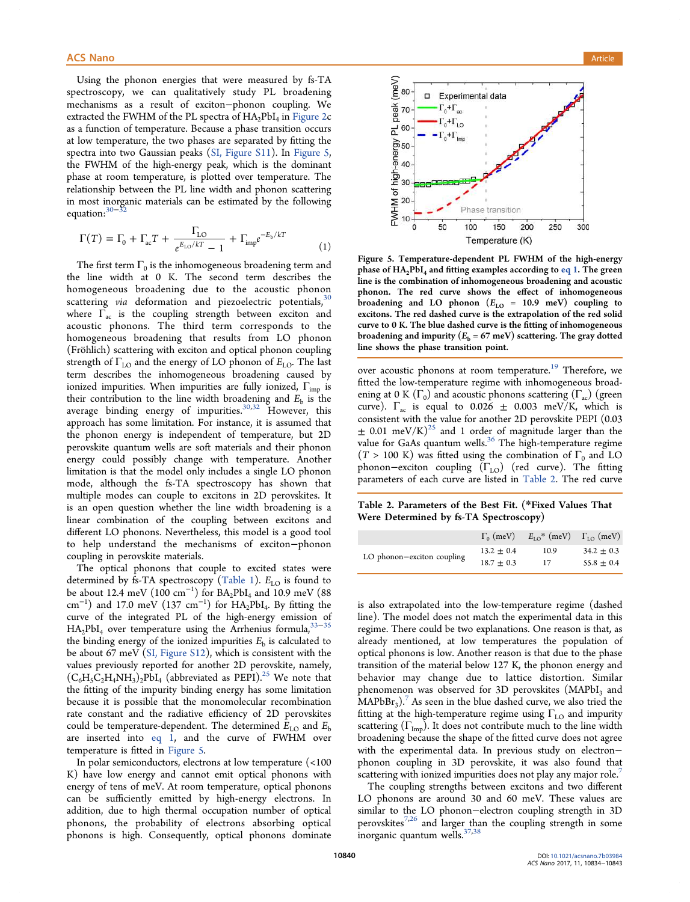Using the phonon energies that were measured by fs-TA spectroscopy, we can qualitatively study PL broadening mechanisms as a result of exciton−phonon coupling. We extracted the FWHM of the PL spectra of  $HA_2PbI_4$  in Figure 2 $c$ as a function of temperature. Because a phase transition occurs at low temperature, the two phases are separated by fitting the spectra into two Gaussian peaks (SI, Figure S11). In Figure 5, the FWHM of the high-energy peak, which is the dominant phase at room temperature, is plotted over temperature. The relationship between the PL line width and phonon scattering in most inorganic materials can be estimated by the following equation: $30-3$ 

$$
\Gamma(T) = \Gamma_0 + \Gamma_{ac} T + \frac{\Gamma_{LO}}{e^{E_{LO}/kT} - 1} + \Gamma_{imp} e^{-E_b/kT}
$$
 (1)

The first term  $\Gamma_0$  is the inhomogeneous broadening term and the line width at 0 K. The second term describes the homogeneous broadening due to the acoustic phonon scattering *via* deformation and piezoelectric potentials,<sup>30</sup> where  $\Gamma_{ac}$  is the coupling strength between exciton and acoustic phonons. The third term corresponds to the homogeneous broadening that results from LO phonon (Fröhlich) scattering with exciton and optical phonon coupling strength of  $\Gamma_{\text{LO}}$  and the energy of LO phonon of  $E_{\text{LO}}$ . The last term describes the inhomogeneous broadening caused by ionized impurities. When impurities are fully ionized,  $\Gamma_{\text{imp}}$  is their contribution to the line width broadening and  $E<sub>b</sub>$  is the average binding energy of impurities.<sup>30,32</sup> However, this approach has some limitation. For instance, it is assumed that the phonon energy is independent of temperature, but 2D perovskite quantum wells are soft materials and their phonon energy could possibly change with temperature. Another limitation is that the model only includes a single LO phonon mode, although the fs-TA spectroscopy has shown that multiple modes can couple to excitons in 2D perovskites. It is an open question whether the line width broadening is a linear combination of the coupling between excitons and different LO phonons. Nevertheless, this model is a good tool to help understand the mechanisms of exciton−phonon coupling in perovskite materials.

The optical phonons that couple to excited states were determined by fs-TA spectroscopy (Table 1).  $E_{LO}$  is found to be about 12.4 meV (100 cm<sup>-1</sup>) for  $BA_2PbI_4$  and 10.9 meV (88 cm<sup>-1</sup>) and 17.0 meV (137 cm<sup>-1</sup>) for  $HA_2PbI_4$ . By fitting the curve of the integrated PL of the high-energy emission of  $HA_2PbI_4$  over temperature using the Arrhenius formula,<sup>33–35</sup> the binding energy of the ionized impurities  $E<sub>b</sub>$  is calculated to be about 67 meV (SI, Figure S12), which is consistent with the values previously reported for another 2D perovskite, namely,  $(C_6H_5C_2H_4NH_3)_2PbI_4$  (abbreviated as PEPI).<sup>25</sup> We note that the fitting of the impurity binding energy has some limitation because it is possible that the monomolecular recombination rate constant and the radiative efficiency of 2D perovskites could be temperature-dependent. The determined  $E_{\text{LO}}$  and  $E_{\text{b}}$ are inserted into eq 1, and the curve of FWHM over temperature is fitted in Figure 5.

In polar semiconductors, electrons at low temperature (<100 K) have low energy and cannot emit optical phonons with energy of tens of meV. At room temperature, optical phonons can be sufficiently emitted by high-energy electrons. In addition, due to high thermal occupation number of optical phonons, the probability of electrons absorbing optical phonons is high. Consequently, optical phonons dominate



Figure 5. Temperature-dependent PL FWHM of the high-energy phase of  $HA_2PbI_4$  and fitting examples according to eq 1. The green line is the combination of inhomogeneous broadening and acoustic phonon. The red curve shows the effect of inhomogeneous broadening and LO phonon  $(E_{LO} = 10.9 \text{ meV})$  coupling to excitons. The red dashed curve is the extrapolation of the red solid curve to 0 K. The blue dashed curve is the fitting of inhomogeneous broadening and impurity  $(E_b = 67 \text{ meV})$  scattering. The gray dotted line shows the phase transition point.

over acoustic phonons at room temperature.<sup>19</sup> Therefore, we fitted the low-temperature regime with inhomogeneous broadening at 0 K  $(\Gamma_0)$  and acoustic phonons scattering  $(\Gamma_{ac})$  (green curve).  $\Gamma_{ac}$  is equal to 0.026  $\pm$  0.003 meV/K, which is consistent with the value for another 2D perovskite PEPI (0.03  $\pm$  0.01 meV/K)<sup>25</sup> and 1 order of magnitude larger than the value for GaAs quantum wells.<sup>36</sup> The high-temperature regime  $(T > 100 \text{ K})$  was fitted using the combination of  $\Gamma_0$  and LO phonon−exciton coupling  $(\Gamma_{LO})$  (red curve). The fitting parameters of each curve are listed in Table 2. The red curve

Table 2. Parameters of the Best Fit. (\*Fixed Values That Were Determined by fs-TA Spectroscopy)

|                            | $\Gamma_0$ (meV) | $E_{LO}$ <sup>*</sup> (meV) $\Gamma_{LO}$ (meV) |                |
|----------------------------|------------------|-------------------------------------------------|----------------|
| LO phonon-exciton coupling | $13.2 \pm 0.4$   | 10.9                                            | $34.2 \pm 0.3$ |
|                            | $18.7 + 0.3$     | 17                                              | $55.8 \pm 0.4$ |

is also extrapolated into the low-temperature regime (dashed line). The model does not match the experimental data in this regime. There could be two explanations. One reason is that, as already mentioned, at low temperatures the population of optical phonons is low. Another reason is that due to the phase transition of the material below 127 K, the phonon energy and behavior may change due to lattice distortion. Similar phenomenon was observed for 3D perovskites  $(MAPbI<sub>3</sub>)$  and  $\text{MAPbBr}_3$ ).<sup>7</sup> As seen in the blue dashed curve, we also tried the fitting at the high-temperature regime using  $\Gamma_{\text{LO}}$  and impurity scattering  $(\Gamma_{\text{Imp}})$ . It does not contribute much to the line width broadening because the shape of the fitted curve does not agree with the experimental data. In previous study on electron− phonon coupling in 3D perovskite, it was also found that scattering with ionized impurities does not play any major role.<sup>7</sup>

The coupling strengths between excitons and two different LO phonons are around 30 and 60 meV. These values are similar to the LO phonon−electron coupling strength in 3D perovskites<sup>7,26</sup> and larger than the coupling strength in some inorganic quantum wells.<sup>37,38</sup>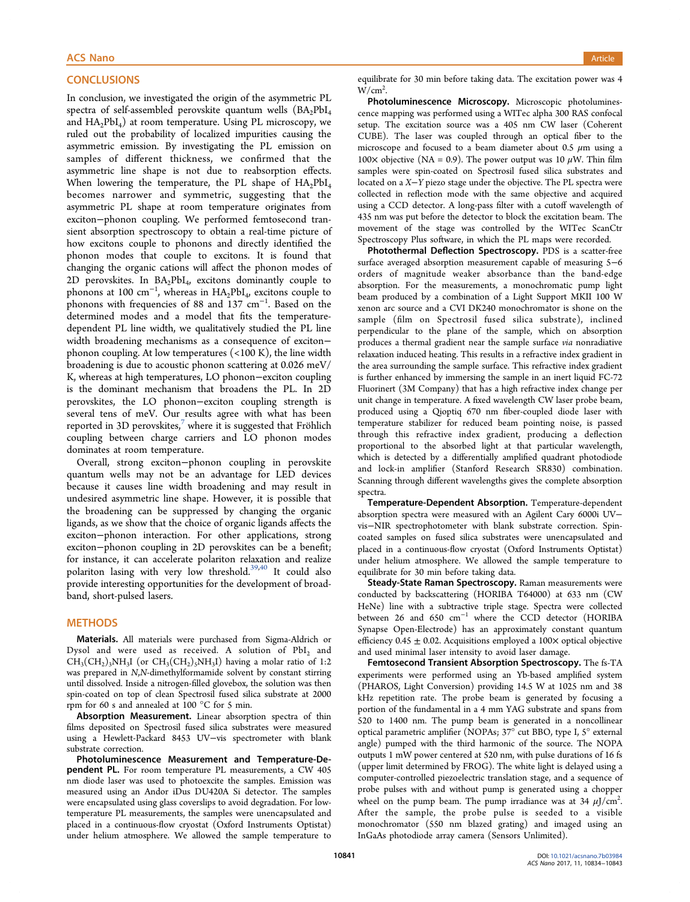## **CONCLUSIONS**

In conclusion, we investigated the origin of the asymmetric PL spectra of self-assembled perovskite quantum wells  $(BA_2PbI_4)$ and  $\text{HA}_2\text{PbI}_4$ ) at room temperature. Using PL microscopy, we ruled out the probability of localized impurities causing the asymmetric emission. By investigating the PL emission on samples of different thickness, we confirmed that the asymmetric line shape is not due to reabsorption effects. When lowering the temperature, the PL shape of  $HA_2PbI_4$ becomes narrower and symmetric, suggesting that the asymmetric PL shape at room temperature originates from exciton−phonon coupling. We performed femtosecond transient absorption spectroscopy to obtain a real-time picture of how excitons couple to phonons and directly identified the phonon modes that couple to excitons. It is found that changing the organic cations will affect the phonon modes of 2D perovskites. In  $BA_2PbI_4$ , excitons dominantly couple to phonons at 100  $\text{cm}^{-1}$ , whereas in  $HA_2PbI_4$ , excitons couple to phonons with frequencies of 88 and 137 cm<sup>−</sup><sup>1</sup> . Based on the determined modes and a model that fits the temperaturedependent PL line width, we qualitatively studied the PL line width broadening mechanisms as a consequence of exciton− phonon coupling. At low temperatures (<100 K), the line width broadening is due to acoustic phonon scattering at 0.026 meV/ K, whereas at high temperatures, LO phonon−exciton coupling is the dominant mechanism that broadens the PL. In 2D perovskites, the LO phonon−exciton coupling strength is several tens of meV. Our results agree with what has been reported in 3D perovskites, $7$  where it is suggested that Fröhlich coupling between charge carriers and LO phonon modes dominates at room temperature.

Overall, strong exciton−phonon coupling in perovskite quantum wells may not be an advantage for LED devices because it causes line width broadening and may result in undesired asymmetric line shape. However, it is possible that the broadening can be suppressed by changing the organic ligands, as we show that the choice of organic ligands affects the exciton−phonon interaction. For other applications, strong exciton−phonon coupling in 2D perovskites can be a benefit; for instance, it can accelerate polariton relaxation and realize polariton lasing with very low threshold.<sup>39,40</sup> It could also provide interesting opportunities for the development of broadband, short-pulsed lasers.

# **METHODS**

Materials. All materials were purchased from Sigma-Aldrich or Dysol and were used as received. A solution of  $PbI<sub>2</sub>$  and  $CH_3(CH_2)_3NH_3I$  (or  $CH_3(CH_2)_5NH_3I$ ) having a molar ratio of 1:2 was prepared in *N*,*N*-dimethylformamide solvent by constant stirring until dissolved. Inside a nitrogen-filled glovebox, the solution was then spin-coated on top of clean Spectrosil fused silica substrate at 2000 rpm for 60 s and annealed at 100 °C for 5 min.

Absorption Measurement. Linear absorption spectra of thin films deposited on Spectrosil fused silica substrates were measured using a Hewlett-Packard 8453 UV−vis spectrometer with blank substrate correction.

Photoluminescence Measurement and Temperature-Dependent PL. For room temperature PL measurements, a CW 405 nm diode laser was used to photoexcite the samples. Emission was measured using an Andor iDus DU420A Si detector. The samples were encapsulated using glass coverslips to avoid degradation. For lowtemperature PL measurements, the samples were unencapsulated and placed in a continuous-flow cryostat (Oxford Instruments Optistat) under helium atmosphere. We allowed the sample temperature to

equilibrate for 30 min before taking data. The excitation power was 4  $W/cm<sup>2</sup>$ . .

Photoluminescence Microscopy. Microscopic photoluminescence mapping was performed using a WITec alpha 300 RAS confocal setup. The excitation source was a 405 nm CW laser (Coherent CUBE). The laser was coupled through an optical fiber to the microscope and focused to a beam diameter about 0.5  $\mu$ m using a 100× objective (NA = 0.9). The power output was 10  $\mu$ W. Thin film samples were spin-coated on Spectrosil fused silica substrates and located on a *X*−*Y* piezo stage under the objective. The PL spectra were collected in reflection mode with the same objective and acquired using a CCD detector. A long-pass filter with a cutoff wavelength of 435 nm was put before the detector to block the excitation beam. The movement of the stage was controlled by the WITec ScanCtr Spectroscopy Plus software, in which the PL maps were recorded.

Photothermal Deflection Spectroscopy. PDS is a scatter-free surface averaged absorption measurement capable of measuring 5−6 orders of magnitude weaker absorbance than the band-edge absorption. For the measurements, a monochromatic pump light beam produced by a combination of a Light Support MKII 100 W xenon arc source and a CVI DK240 monochromator is shone on the sample (film on Spectrosil fused silica substrate), inclined perpendicular to the plane of the sample, which on absorption produces a thermal gradient near the sample surface *via* nonradiative relaxation induced heating. This results in a refractive index gradient in the area surrounding the sample surface. This refractive index gradient is further enhanced by immersing the sample in an inert liquid FC-72 Fluorinert (3M Company) that has a high refractive index change per unit change in temperature. A fixed wavelength CW laser probe beam, produced using a Qioptiq 670 nm fiber-coupled diode laser with temperature stabilizer for reduced beam pointing noise, is passed through this refractive index gradient, producing a deflection proportional to the absorbed light at that particular wavelength, which is detected by a differentially amplified quadrant photodiode and lock-in amplifier (Stanford Research SR830) combination. Scanning through different wavelengths gives the complete absorption spectra.

Temperature-Dependent Absorption. Temperature-dependent absorption spectra were measured with an Agilent Cary 6000i UV− vis−NIR spectrophotometer with blank substrate correction. Spincoated samples on fused silica substrates were unencapsulated and placed in a continuous-flow cryostat (Oxford Instruments Optistat) under helium atmosphere. We allowed the sample temperature to equilibrate for 30 min before taking data.

Steady-State Raman Spectroscopy. Raman measurements were conducted by backscattering (HORIBA T64000) at 633 nm (CW HeNe) line with a subtractive triple stage. Spectra were collected between 26 and 650 cm<sup>−</sup><sup>1</sup> where the CCD detector (HORIBA Synapse Open-Electrode) has an approximately constant quantum efficiency  $0.45 \pm 0.02$ . Acquisitions employed a  $100 \times$  optical objective and used minimal laser intensity to avoid laser damage.

Femtosecond Transient Absorption Spectroscopy. The fs-TA experiments were performed using an Yb-based amplified system (PHAROS, Light Conversion) providing 14.5 W at 1025 nm and 38 kHz repetition rate. The probe beam is generated by focusing a portion of the fundamental in a 4 mm YAG substrate and spans from 520 to 1400 nm. The pump beam is generated in a noncollinear optical parametric amplifier (NOPAs; 37° cut BBO, type I, 5° external angle) pumped with the third harmonic of the source. The NOPA outputs 1 mW power centered at 520 nm, with pulse durations of 16 fs (upper limit determined by FROG). The white light is delayed using a computer-controlled piezoelectric translation stage, and a sequence of probe pulses with and without pump is generated using a chopper wheel on the pump beam. The pump irradiance was at 34  $\mu$ J/cm<sup>2</sup>. . After the sample, the probe pulse is seeded to a visible monochromator (550 nm blazed grating) and imaged using an InGaAs photodiode array camera (Sensors Unlimited).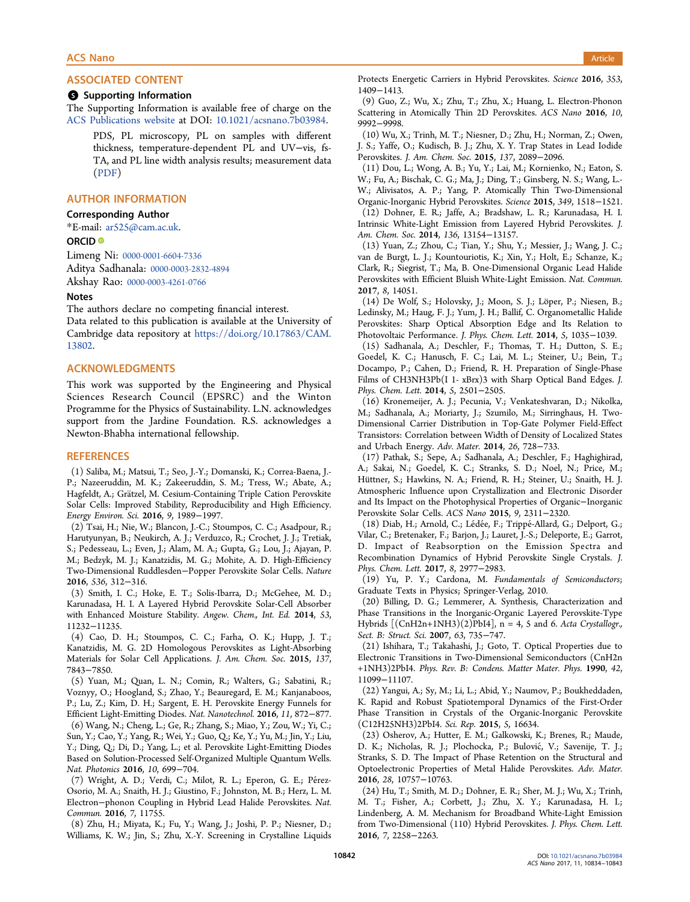#### **6** Supporting Information

The Supporting Information is available free of charge on the ACS Publications website at DOI: 10.1021/acsnano.7b03984.

PDS, PL microscopy, PL on samples with different thickness, temperature-dependent PL and UV−vis, fs-TA, and PL line width analysis results; measurement data (PDF)

# AUTHOR INFORMATION

## Corresponding Author

\*E-mail: ar525@cam.ac.uk.

#### ORCID<sup>®</sup>

Limeng Ni: 0000-0001-6604-7336 Aditya Sadhanala: 0000-0003-2832-4894

Akshay Rao: 0000-0003-4261-0766

#### Notes

The authors declare no competing financial interest. Data related to this publication is available at the University of Cambridge data repository at https://doi.org/10.17863/CAM. 13802.

#### ACKNOWLEDGMENTS

This work was supported by the Engineering and Physical Sciences Research Council (EPSRC) and the Winton Programme for the Physics of Sustainability. L.N. acknowledges support from the Jardine Foundation. R.S. acknowledges a Newton-Bhabha international fellowship.

#### **REFERENCES**

(1) Saliba, M.; Matsui, T.; Seo, J.-Y.; Domanski, K.; Correa-Baena, J.- P.; Nazeeruddin, M. K.; Zakeeruddin, S. M.; Tress, W.; Abate, A.; Hagfeldt, A.; Grätzel, M. Cesium-Containing Triple Cation Perovskite Solar Cells: Improved Stability, Reproducibility and High Efficiency. *Energy Environ. Sci.* 2016, *9*, 1989−1997.

(2) Tsai, H.; Nie, W.; Blancon, J.-C.; Stoumpos, C. C.; Asadpour, R.; Harutyunyan, B.; Neukirch, A. J.; Verduzco, R.; Crochet, J. J.; Tretiak, S.; Pedesseau, L.; Even, J.; Alam, M. A.; Gupta, G.; Lou, J.; Ajayan, P. M.; Bedzyk, M. J.; Kanatzidis, M. G.; Mohite, A. D. High-Efficiency Two-Dimensional Ruddlesden−Popper Perovskite Solar Cells. *Nature* 2016, *536*, 312−316.

(3) Smith, I. C.; Hoke, E. T.; Solis-Ibarra, D.; McGehee, M. D.; Karunadasa, H. I. A Layered Hybrid Perovskite Solar-Cell Absorber with Enhanced Moisture Stability. *Angew. Chem., Int. Ed.* 2014, *53*, 11232−11235.

(4) Cao, D. H.; Stoumpos, C. C.; Farha, O. K.; Hupp, J. T.; Kanatzidis, M. G. 2D Homologous Perovskites as Light-Absorbing Materials for Solar Cell Applications. *J. Am. Chem. Soc.* 2015, *137*, 7843−7850.

(5) Yuan, M.; Quan, L. N.; Comin, R.; Walters, G.; Sabatini, R.; Voznyy, O.; Hoogland, S.; Zhao, Y.; Beauregard, E. M.; Kanjanaboos, P.; Lu, Z.; Kim, D. H.; Sargent, E. H. Perovskite Energy Funnels for Efficient Light-Emitting Diodes. *Nat. Nanotechnol.* 2016, *11*, 872−877. (6) Wang, N.; Cheng, L.; Ge, R.; Zhang, S.; Miao, Y.; Zou, W.; Yi, C.; Sun, Y.; Cao, Y.; Yang, R.; Wei, Y.; Guo, Q.; Ke, Y.; Yu, M.; Jin, Y.; Liu, Y.; Ding, Q.; Di, D.; Yang, L.; et al. Perovskite Light-Emitting Diodes Based on Solution-Processed Self-Organized Multiple Quantum Wells. *Nat. Photonics* 2016, *10*, 699−704.

(7) Wright, A. D.; Verdi, C.; Milot, R. L.; Eperon, G. E.; Pérez-Osorio, M. A.; Snaith, H. J.; Giustino, F.; Johnston, M. B.; Herz, L. M. Electron−phonon Coupling in Hybrid Lead Halide Perovskites. *Nat. Commun.* 2016, *7*, 11755.

(8) Zhu, H.; Miyata, K.; Fu, Y.; Wang, J.; Joshi, P. P.; Niesner, D.; Williams, K. W.; Jin, S.; Zhu, X.-Y. Screening in Crystalline Liquids Protects Energetic Carriers in Hybrid Perovskites. *Science* 2016, *353*, 1409−1413.

(9) Guo, Z.; Wu, X.; Zhu, T.; Zhu, X.; Huang, L. Electron-Phonon Scattering in Atomically Thin 2D Perovskites. *ACS Nano* 2016, *10*, 9992−9998.

(10) Wu, X.; Trinh, M. T.; Niesner, D.; Zhu, H.; Norman, Z.; Owen, J. S.; Yaffe, O.; Kudisch, B. J.; Zhu, X. Y. Trap States in Lead Iodide Perovskites. *J. Am. Chem. Soc.* 2015, *137*, 2089−2096.

(11) Dou, L.; Wong, A. B.; Yu, Y.; Lai, M.; Kornienko, N.; Eaton, S. W.; Fu, A.; Bischak, C. G.; Ma, J.; Ding, T.; Ginsberg, N. S.; Wang, L.- W.; Alivisatos, A. P.; Yang, P. Atomically Thin Two-Dimensional Organic-Inorganic Hybrid Perovskites. *Science* 2015, *349*, 1518−1521. (12) Dohner, E. R.; Jaffe, A.; Bradshaw, L. R.; Karunadasa, H. I. Intrinsic White-Light Emission from Layered Hybrid Perovskites. *J. Am. Chem. Soc.* 2014, *136*, 13154−13157.

(13) Yuan, Z.; Zhou, C.; Tian, Y.; Shu, Y.; Messier, J.; Wang, J. C.; van de Burgt, L. J.; Kountouriotis, K.; Xin, Y.; Holt, E.; Schanze, K.; Clark, R.; Siegrist, T.; Ma, B. One-Dimensional Organic Lead Halide Perovskites with Efficient Bluish White-Light Emission. *Nat. Commun.* 2017, *8*, 14051.

(14) De Wolf, S.; Holovsky, J.; Moon, S. J.; Löper, P.; Niesen, B.; Ledinsky, M.; Haug, F. J.; Yum, J. H.; Ballif, C. Organometallic Halide Perovskites: Sharp Optical Absorption Edge and Its Relation to Photovoltaic Performance. *J. Phys. Chem. Lett.* 2014, *5*, 1035−1039.

(15) Sadhanala, A.; Deschler, F.; Thomas, T. H.; Dutton, S. E.; Goedel, K. C.; Hanusch, F. C.; Lai, M. L.; Steiner, U.; Bein, T.; Docampo, P.; Cahen, D.; Friend, R. H. Preparation of Single-Phase Films of CH3NH3Pb(I 1- xBrx)3 with Sharp Optical Band Edges. *J. Phys. Chem. Lett.* 2014, *5*, 2501−2505.

(16) Kronemeijer, A. J.; Pecunia, V.; Venkateshvaran, D.; Nikolka, M.; Sadhanala, A.; Moriarty, J.; Szumilo, M.; Sirringhaus, H. Two-Dimensional Carrier Distribution in Top-Gate Polymer Field-Effect Transistors: Correlation between Width of Density of Localized States and Urbach Energy. *Adv. Mater.* 2014, *26*, 728−733.

(17) Pathak, S.; Sepe, A.; Sadhanala, A.; Deschler, F.; Haghighirad, A.; Sakai, N.; Goedel, K. C.; Stranks, S. D.; Noel, N.; Price, M.; Hüttner, S.; Hawkins, N. A.; Friend, R. H.; Steiner, U.; Snaith, H. J. Atmospheric Influence upon Crystallization and Electronic Disorder and Its Impact on the Photophysical Properties of Organic−Inorganic Perovskite Solar Cells. *ACS Nano* 2015, *9*, 2311−2320.

(18) Diab, H.; Arnold, C.; Lédée, F.; Trippé-Allard, G.; Delport, G.; Vilar, C.; Bretenaker, F.; Barjon, J.; Lauret, J.-S.; Deleporte, E.; Garrot, D. Impact of Reabsorption on the Emission Spectra and Recombination Dynamics of Hybrid Perovskite Single Crystals. *J. Phys. Chem. Lett.* 2017, *8*, 2977−2983.

(19) Yu, P. Y.; Cardona, M. *Fundamentals of Semiconductors*; Graduate Texts in Physics; Springer-Verlag, 2010.

(20) Billing, D. G.; Lemmerer, A. Synthesis, Characterization and Phase Transitions in the Inorganic-Organic Layered Perovskite-Type Hybrids [(CnH2n+1NH3)(2)PbI4], n = 4, 5 and 6. *Acta Crystallogr., Sect. B: Struct. Sci.* 2007, *63*, 735−747.

(21) Ishihara, T.; Takahashi, J.; Goto, T. Optical Properties due to Electronic Transitions in Two-Dimensional Semiconductors (CnH2n +1NH3)2PbI4. *Phys. Rev. B: Condens. Matter Mater. Phys.* 1990, *42*, 11099−11107.

(22) Yangui, A.; Sy, M.; Li, L.; Abid, Y.; Naumov, P.; Boukheddaden, K. Rapid and Robust Spatiotemporal Dynamics of the First-Order Phase Transition in Crystals of the Organic-Inorganic Perovskite (C12H25NH3)2PbI4. *Sci. Rep.* 2015, *5*, 16634.

(23) Osherov, A.; Hutter, E. M.; Galkowski, K.; Brenes, R.; Maude, D. K.; Nicholas, R. J.; Plochocka, P.; Bulovic, V.; Savenije, T. J.; ́ Stranks, S. D. The Impact of Phase Retention on the Structural and Optoelectronic Properties of Metal Halide Perovskites. *Adv. Mater.* 2016, *28*, 10757−10763.

(24) Hu, T.; Smith, M. D.; Dohner, E. R.; Sher, M. J.; Wu, X.; Trinh, M. T.; Fisher, A.; Corbett, J.; Zhu, X. Y.; Karunadasa, H. I.; Lindenberg, A. M. Mechanism for Broadband White-Light Emission from Two-Dimensional (110) Hybrid Perovskites. *J. Phys. Chem. Lett.* 2016, *7*, 2258−2263.